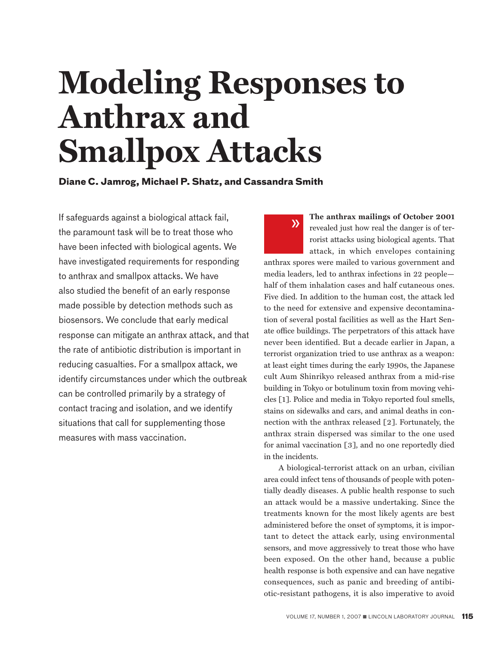# **Modeling Responses to Anthrax and Smallpox Attacks**

**Diane C. Jamrog, Michael P. Shatz, and Cassandra Smith**

If safeguards against a biological attack fail, the paramount task will be to treat those who have been infected with biological agents. We have investigated requirements for responding to anthrax and smallpox attacks. We have also studied the benefit of an early response made possible by detection methods such as biosensors. We conclude that early medical response can mitigate an anthrax attack, and that the rate of antibiotic distribution is important in reducing casualties. For a smallpox attack, we identify circumstances under which the outbreak can be controlled primarily by a strategy of contact tracing and isolation, and we identify situations that call for supplementing those measures with mass vaccination.

**The anthrax mailings of October 2001**  revealed just how real the danger is of terrorist attacks using biological agents. That attack, in which envelopes containing anthrax spores were mailed to various government and media leaders, led to anthrax infections in 22 people half of them inhalation cases and half cutaneous ones. Five died. In addition to the human cost, the attack led to the need for extensive and expensive decontamination of several postal facilities as well as the Hart Senate office buildings. The perpetrators of this attack have never been identified. But a decade earlier in Japan, a terrorist organization tried to use anthrax as a weapon: at least eight times during the early 1990s, the Japanese cult Aum Shinrikyo released anthrax from a mid-rise building in Tokyo or botulinum toxin from moving vehicles [1]. Police and media in Tokyo reported foul smells, stains on sidewalks and cars, and animal deaths in connection with the anthrax released [2]. Fortunately, the anthrax strain dispersed was similar to the one used for animal vaccination [3], and no one reportedly died in the incidents. »

A biological-terrorist attack on an urban, civilian area could infect tens of thousands of people with potentially deadly diseases. A public health response to such an attack would be a massive undertaking. Since the treatments known for the most likely agents are best administered before the onset of symptoms, it is important to detect the attack early, using environmental sensors, and move aggressively to treat those who have been exposed. On the other hand, because a public health response is both expensive and can have negative consequences, such as panic and breeding of antibiotic-resistant pathogens, it is also imperative to avoid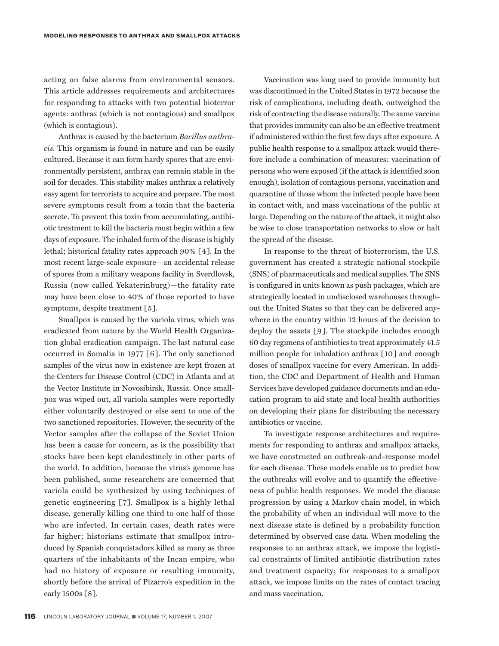acting on false alarms from environmental sensors. This article addresses requirements and architectures for responding to attacks with two potential bioterror agents: anthrax (which is not contagious) and smallpox (which is contagious).

Anthrax is caused by the bacterium *Bacillus anthracis.* This organism is found in nature and can be easily cultured. Because it can form hardy spores that are environmentally persistent, anthrax can remain stable in the soil for decades. This stability makes anthrax a relatively easy agent for terrorists to acquire and prepare. The most severe symptoms result from a toxin that the bacteria secrete. To prevent this toxin from accumulating, antibiotic treatment to kill the bacteria must begin within a few days of exposure. The inhaled form of the disease is highly lethal; historical fatality rates approach 90% [4]. In the most recent large-scale exposure—an accidental release of spores from a military weapons facility in Sverdlovsk, Russia (now called Yekaterinburg)—the fatality rate may have been close to 40% of those reported to have symptoms, despite treatment [5].

Smallpox is caused by the variola virus, which was eradicated from nature by the World Health Organization global eradication campaign. The last natural case occurred in Somalia in 1977 [6]. The only sanctioned samples of the virus now in existence are kept frozen at the Centers for Disease Control (CDC) in Atlanta and at the Vector Institute in Novosibirsk, Russia. Once smallpox was wiped out, all variola samples were reportedly either voluntarily destroyed or else sent to one of the two sanctioned repositories. However, the security of the Vector samples after the collapse of the Soviet Union has been a cause for concern, as is the possibility that stocks have been kept clandestinely in other parts of the world. In addition, because the virus's genome has been published, some researchers are concerned that variola could be synthesized by using techniques of genetic engineering [7]. Smallpox is a highly lethal disease, generally killing one third to one half of those who are infected. In certain cases, death rates were far higher; historians estimate that smallpox introduced by Spanish conquistadors killed as many as three quarters of the inhabitants of the Incan empire, who had no history of exposure or resulting immunity, shortly before the arrival of Pizarro's expedition in the early 1500s [8].

**116** LINCOLN LABORATORY JOURNAL VOLUME 17, NUMBER 1, 2007

Vaccination was long used to provide immunity but was discontinued in the United States in 1972 because the risk of complications, including death, outweighed the risk of contracting the disease naturally. The same vaccine that provides immunity can also be an effective treatment if administered within the first few days after exposure. A public health response to a smallpox attack would therefore include a combination of measures: vaccination of persons who were exposed (if the attack is identified soon enough), isolation of contagious persons, vaccination and quarantine of those whom the infected people have been in contact with, and mass vaccinations of the public at large. Depending on the nature of the attack, it might also be wise to close transportation networks to slow or halt the spread of the disease.

In response to the threat of bioterrorism, the U.S. government has created a strategic national stockpile (SNS) of pharmaceuticals and medical supplies. The SNS is configured in units known as push packages, which are strategically located in undisclosed warehouses throughout the United States so that they can be delivered anywhere in the country within 12 hours of the decision to deploy the assets [9]. The stockpile includes enough 60 day regimens of antibiotics to treat approximately 41.5 million people for inhalation anthrax [10] and enough doses of smallpox vaccine for every American. In addition, the CDC and Department of Health and Human Services have developed guidance documents and an education program to aid state and local health authorities on developing their plans for distributing the necessary antibiotics or vaccine.

To investigate response architectures and requirements for responding to anthrax and smallpox attacks, we have constructed an outbreak-and-response model for each disease. These models enable us to predict how the outbreaks will evolve and to quantify the effectiveness of public health responses. We model the disease progression by using a Markov chain model, in which the probability of when an individual will move to the next disease state is defined by a probability function determined by observed case data. When modeling the responses to an anthrax attack, we impose the logistical constraints of limited antibiotic distribution rates and treatment capacity; for responses to a smallpox attack, we impose limits on the rates of contact tracing and mass vaccination.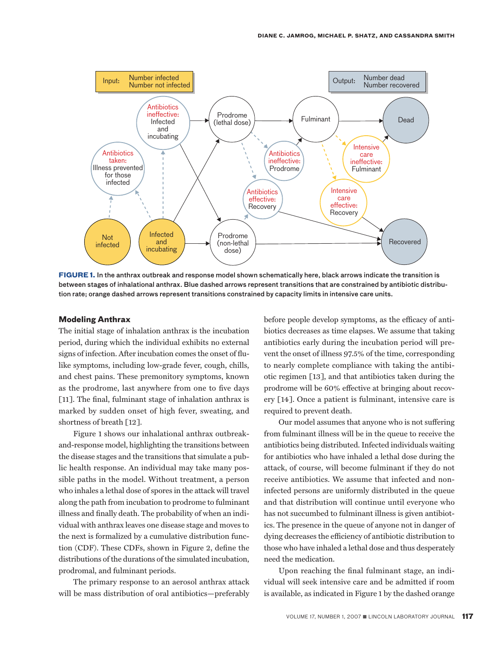

**FIGURE 1.** In the anthrax outbreak and response model shown schematically here, black arrows indicate the transition is between stages of inhalational anthrax. Blue dashed arrows represent transitions that are constrained by antibiotic distribution rate; orange dashed arrows represent transitions constrained by capacity limits in intensive care units.

#### **Modeling Anthrax**

The initial stage of inhalation anthrax is the incubation period, during which the individual exhibits no external signs of infection. After incubation comes the onset of flulike symptoms, including low-grade fever, cough, chills, and chest pains. These premonitory symptoms, known as the prodrome, last anywhere from one to five days [11]. The final, fulminant stage of inhalation anthrax is marked by sudden onset of high fever, sweating, and shortness of breath [12].

Figure 1 shows our inhalational anthrax outbreakand-response model, highlighting the transitions between the disease stages and the transitions that simulate a public health response. An individual may take many possible paths in the model. Without treatment, a person who inhales a lethal dose of spores in the attack will travel along the path from incubation to prodrome to fulminant illness and finally death. The probability of when an individual with anthrax leaves one disease stage and moves to the next is formalized by a cumulative distribution function (CDF). These CDFs, shown in Figure 2, define the distributions of the durations of the simulated incubation, prodromal, and fulminant periods.

The primary response to an aerosol anthrax attack will be mass distribution of oral antibiotics—preferably

before people develop symptoms, as the efficacy of antibiotics decreases as time elapses. We assume that taking antibiotics early during the incubation period will prevent the onset of illness 97.5% of the time, corresponding to nearly complete compliance with taking the antibiotic regimen [13], and that antibiotics taken during the prodrome will be 60% effective at bringing about recovery [14]. Once a patient is fulminant, intensive care is required to prevent death.

Our model assumes that anyone who is not suffering from fulminant illness will be in the queue to receive the antibiotics being distributed. Infected individuals waiting for antibiotics who have inhaled a lethal dose during the attack, of course, will become fulminant if they do not receive antibiotics. We assume that infected and noninfected persons are uniformly distributed in the queue and that distribution will continue until everyone who has not succumbed to fulminant illness is given antibiotics. The presence in the queue of anyone not in danger of dying decreases the efficiency of antibiotic distribution to those who have inhaled a lethal dose and thus desperately need the medication.

Upon reaching the final fulminant stage, an individual will seek intensive care and be admitted if room is available, as indicated in Figure 1 by the dashed orange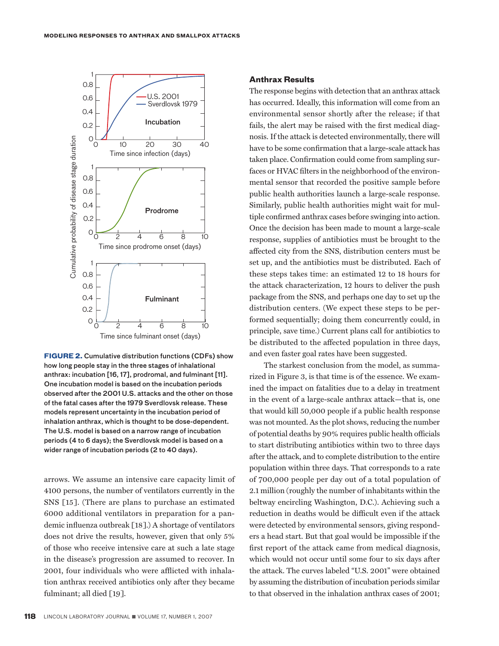

**FIGURE 2.** Cumulative distribution functions (CDFs) show how long people stay in the three stages of inhalational anthrax: incubation [16, 17], prodromal, and fulminant [11]. One incubation model is based on the incubation periods observed after the 2001 U.S. attacks and the other on those of the fatal cases after the 1979 Sverdlovsk release. These models represent uncertainty in the incubation period of inhalation anthrax, which is thought to be dose-dependent. The U.S. model is based on a narrow range of incubation periods (4 to 6 days); the Sverdlovsk model is based on a wider range of incubation periods (2 to 40 days).

arrows. We assume an intensive care capacity limit of 4100 persons, the number of ventilators currently in the SNS [15]. (There are plans to purchase an estimated 6000 additional ventilators in preparation for a pandemic influenza outbreak [18].) A shortage of ventilators does not drive the results, however, given that only 5% of those who receive intensive care at such a late stage in the disease's progression are assumed to recover. In 2001, four individuals who were afflicted with inhalation anthrax received antibiotics only after they became fulminant; all died [19].

#### **Anthrax Results**

The response begins with detection that an anthrax attack has occurred. Ideally, this information will come from an environmental sensor shortly after the release; if that fails, the alert may be raised with the first medical diagnosis. If the attack is detected environmentally, there will have to be some confirmation that a large-scale attack has taken place. Confirmation could come from sampling surfaces or HVAC filters in the neighborhood of the environmental sensor that recorded the positive sample before public health authorities launch a large-scale response. Similarly, public health authorities might wait for multiple confirmed anthrax cases before swinging into action. Once the decision has been made to mount a large-scale response, supplies of antibiotics must be brought to the affected city from the SNS, distribution centers must be set up, and the antibiotics must be distributed. Each of these steps takes time: an estimated 12 to 18 hours for the attack characterization, 12 hours to deliver the push package from the SNS, and perhaps one day to set up the distribution centers. (We expect these steps to be performed sequentially; doing them concurrently could, in principle, save time.) Current plans call for antibiotics to be distributed to the affected population in three days, and even faster goal rates have been suggested.

The starkest conclusion from the model, as summarized in Figure 3, is that time is of the essence. We examined the impact on fatalities due to a delay in treatment in the event of a large-scale anthrax attack—that is, one that would kill 50,000 people if a public health response was not mounted. As the plot shows, reducing the number of potential deaths by 90% requires public health officials to start distributing antibiotics within two to three days after the attack, and to complete distribution to the entire population within three days. That corresponds to a rate of 700,000 people per day out of a total population of 2.1 million (roughly the number of inhabitants within the beltway encircling Washington, D.C.). Achieving such a reduction in deaths would be difficult even if the attack were detected by environmental sensors, giving responders a head start. But that goal would be impossible if the first report of the attack came from medical diagnosis, which would not occur until some four to six days after the attack. The curves labeled "U.S. 2001" were obtained by assuming the distribution of incubation periods similar to that observed in the inhalation anthrax cases of 2001;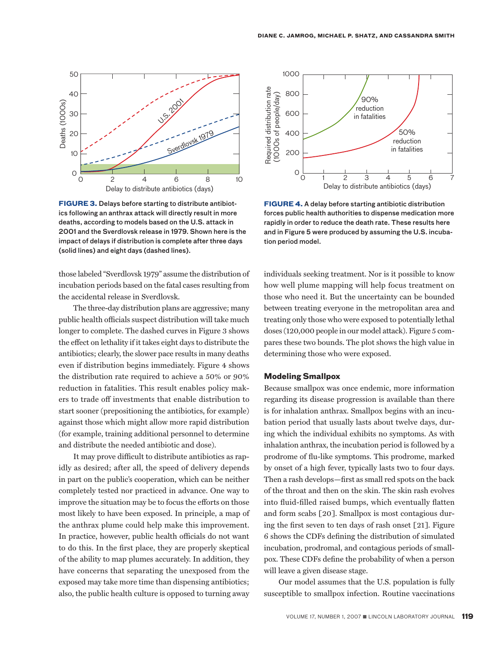

**FIGURE 3.** Delays before starting to distribute antibiotics following an anthrax attack will directly result in more deaths, according to models based on the U.S. attack in 2001 and the Sverdlovsk release in 1979. Shown here is the impact of delays if distribution is complete after three days (solid lines) and eight days (dashed lines).

those labeled "Sverdlovsk 1979" assume the distribution of incubation periods based on the fatal cases resulting from the accidental release in Sverdlovsk.

The three-day distribution plans are aggressive; many public health officials suspect distribution will take much longer to complete. The dashed curves in Figure 3 shows the effect on lethality if it takes eight days to distribute the antibiotics; clearly, the slower pace results in many deaths even if distribution begins immediately. Figure 4 shows the distribution rate required to achieve a 50% or 90% reduction in fatalities. This result enables policy makers to trade off investments that enable distribution to start sooner (prepositioning the antibiotics, for example) against those which might allow more rapid distribution (for example, training additional personnel to determine and distribute the needed antibiotic and dose).

It may prove difficult to distribute antibiotics as rapidly as desired; after all, the speed of delivery depends in part on the public's cooperation, which can be neither completely tested nor practiced in advance. One way to improve the situation may be to focus the efforts on those most likely to have been exposed. In principle, a map of the anthrax plume could help make this improvement. In practice, however, public health officials do not want to do this. In the first place, they are properly skeptical of the ability to map plumes accurately. In addition, they have concerns that separating the unexposed from the exposed may take more time than dispensing antibiotics; also, the public health culture is opposed to turning away



**FIGURE 4.** A delay before starting antibiotic distribution forces public health authorities to dispense medication more rapidly in order to reduce the death rate. These results here and in Figure 5 were produced by assuming the U.S. incubation period model.

individuals seeking treatment. Nor is it possible to know how well plume mapping will help focus treatment on those who need it. But the uncertainty can be bounded between treating everyone in the metropolitan area and treating only those who were exposed to potentially lethal doses (120,000 people in our model attack). Figure 5 compares these two bounds. The plot shows the high value in determining those who were exposed.

#### **Modeling Smallpox**

Because smallpox was once endemic, more information regarding its disease progression is available than there is for inhalation anthrax. Smallpox begins with an incubation period that usually lasts about twelve days, during which the individual exhibits no symptoms. As with inhalation anthrax, the incubation period is followed by a prodrome of flu-like symptoms. This prodrome, marked by onset of a high fever, typically lasts two to four days. Then a rash develops—first as small red spots on the back of the throat and then on the skin. The skin rash evolves into fluid-filled raised bumps, which eventually flatten and form scabs [20]. Smallpox is most contagious during the first seven to ten days of rash onset [21]. Figure 6 shows the CDFs defining the distribution of simulated incubation, prodromal, and contagious periods of smallpox. These CDFs define the probability of when a person will leave a given disease stage.

Our model assumes that the U.S. population is fully susceptible to smallpox infection. Routine vaccinations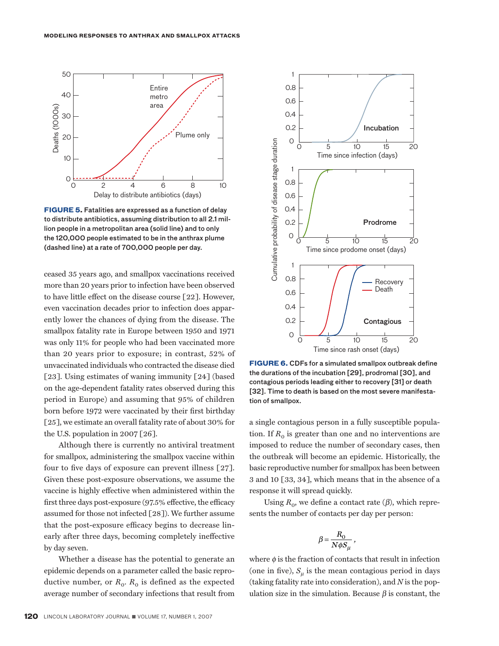

**FIGURE 5.** Fatalities are expressed as a function of delay to distribute antibiotics, assuming distribution to all 2.1 million people in a metropolitan area (solid line) and to only the 120,000 people estimated to be in the anthrax plume (dashed line) at a rate of 700,000 people per day.

ceased 35 years ago, and smallpox vaccinations received more than 20 years prior to infection have been observed to have little effect on the disease course [22]. However, even vaccination decades prior to infection does apparently lower the chances of dying from the disease. The smallpox fatality rate in Europe between 1950 and 1971 was only 11% for people who had been vaccinated more than 20 years prior to exposure; in contrast, 52% of unvaccinated individuals who contracted the disease died [23]. Using estimates of waning immunity [24] (based on the age-dependent fatality rates observed during this period in Europe) and assuming that 95% of children born before 1972 were vaccinated by their first birthday [25], we estimate an overall fatality rate of about 30% for the U.S. population in 2007 [26].

Although there is currently no antiviral treatment for smallpox, administering the smallpox vaccine within four to five days of exposure can prevent illness [27]. Given these post-exposure observations, we assume the vaccine is highly effective when administered within the first three days post-exposure (97.5% effective, the efficacy assumed for those not infected [28]). We further assume that the post-exposure efficacy begins to decrease linearly after three days, becoming completely ineffective by day seven.

Whether a disease has the potential to generate an epidemic depends on a parameter called the basic reproductive number, or  $R_0$ .  $R_0$  is defined as the expected average number of secondary infections that result from



**FIGURE 6.** CDFs for a simulated smallpox outbreak define the durations of the incubation [29], prodromal [30], and contagious periods leading either to recovery [31] or death [32]. Time to death is based on the most severe manifestation of smallpox.

a single contagious person in a fully susceptible population. If  $R_0$  is greater than one and no interventions are imposed to reduce the number of secondary cases, then the outbreak will become an epidemic. Historically, the basic reproductive number for smallpox has been between 3 and 10 [33, 34], which means that in the absence of a response it will spread quickly.

Using  $R_0$ , we define a contact rate ( $\beta$ ), which represents the number of contacts per day per person:

,

$$
\beta = \frac{R_0}{N\phi S_\mu}
$$

where  $\phi$  is the fraction of contacts that result in infection (one in five),  $S_{\mu}$  is the mean contagious period in days (taking fatality rate into consideration), and *N* is the pop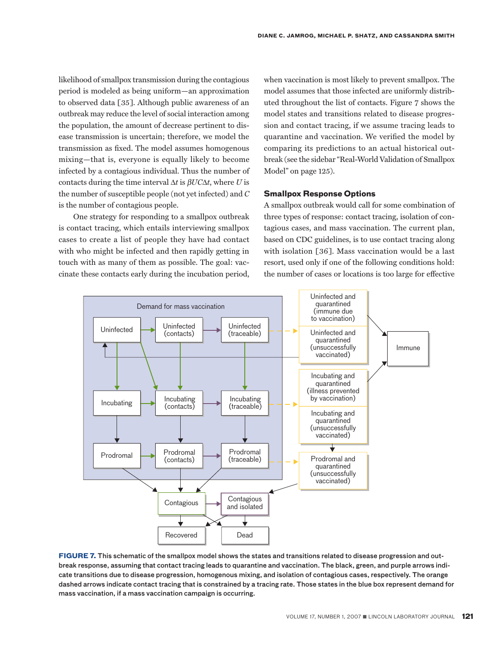likelihood of smallpox transmission during the contagious period is modeled as being uniform—an approximation to observed data [35]. Although public awareness of an outbreak may reduce the level of social interaction among the population, the amount of decrease pertinent to disease transmission is uncertain; therefore, we model the transmission as fixed. The model assumes homogenous mixing—that is, everyone is equally likely to become infected by a contagious individual. Thus the number of contacts during the time interval ∆*t* is b*UC*∆*t*, where *U* is the number of susceptible people (not yet infected) and *C* is the number of contagious people.

One strategy for responding to a smallpox outbreak is contact tracing, which entails interviewing smallpox cases to create a list of people they have had contact with who might be infected and then rapidly getting in touch with as many of them as possible. The goal: vaccinate these contacts early during the incubation period,

when vaccination is most likely to prevent smallpox. The model assumes that those infected are uniformly distributed throughout the list of contacts. Figure 7 shows the model states and transitions related to disease progression and contact tracing, if we assume tracing leads to quarantine and vaccination. We verified the model by comparing its predictions to an actual historical outbreak (see the sidebar "Real-World Validation of Smallpox Model" on page 125).

#### **Smallpox Response Options**

A smallpox outbreak would call for some combination of three types of response: contact tracing, isolation of contagious cases, and mass vaccination. The current plan, based on CDC guidelines, is to use contact tracing along with isolation [36]. Mass vaccination would be a last resort, used only if one of the following conditions hold: the number of cases or locations is too large for effective



**FIGURE 7.** This schematic of the smallpox model shows the states and transitions related to disease progression and outbreak response, assuming that contact tracing leads to quarantine and vaccination. The black, green, and purple arrows indicate transitions due to disease progression, homogenous mixing, and isolation of contagious cases, respectively. The orange dashed arrows indicate contact tracing that is constrained by a tracing rate. Those states in the blue box represent demand for mass vaccination, if a mass vaccination campaign is occurring.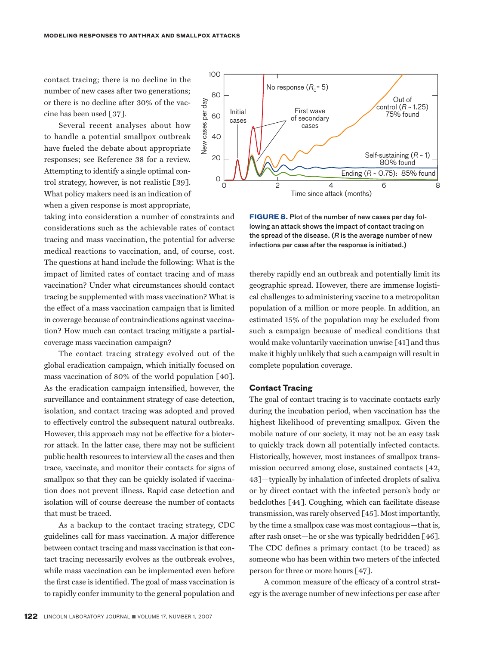contact tracing; there is no decline in the number of new cases after two generations; or there is no decline after 30% of the vaccine has been used [37].

Several recent analyses about how to handle a potential smallpox outbreak have fueled the debate about appropriate responses; see Reference 38 for a review. Attempting to identify a single optimal control strategy, however, is not realistic [39]. What policy makers need is an indication of when a given response is most appropriate,

taking into consideration a number of constraints and considerations such as the achievable rates of contact tracing and mass vaccination, the potential for adverse medical reactions to vaccination, and, of course, cost. The questions at hand include the following: What is the impact of limited rates of contact tracing and of mass vaccination? Under what circumstances should contact tracing be supplemented with mass vaccination? What is the effect of a mass vaccination campaign that is limited in coverage because of contraindications against vaccination? How much can contact tracing mitigate a partialcoverage mass vaccination campaign?

The contact tracing strategy evolved out of the global eradication campaign, which initially focused on mass vaccination of 80% of the world population [40]. As the eradication campaign intensified, however, the surveillance and containment strategy of case detection, isolation, and contact tracing was adopted and proved to effectively control the subsequent natural outbreaks. However, this approach may not be effective for a bioterror attack. In the latter case, there may not be sufficient public health resources to interview all the cases and then trace, vaccinate, and monitor their contacts for signs of smallpox so that they can be quickly isolated if vaccination does not prevent illness. Rapid case detection and isolation will of course decrease the number of contacts that must be traced.

As a backup to the contact tracing strategy, CDC guidelines call for mass vaccination. A major difference between contact tracing and mass vaccination is that contact tracing necessarily evolves as the outbreak evolves, while mass vaccination can be implemented even before the first case is identified. The goal of mass vaccination is to rapidly confer immunity to the general population and



**FIGURE 8.** Plot of the number of new cases per day following an attack shows the impact of contact tracing on the spread of the disease. (*R* is the average number of new infections per case after the response is initiated.)

thereby rapidly end an outbreak and potentially limit its geographic spread. However, there are immense logistical challenges to administering vaccine to a metropolitan population of a million or more people. In addition, an estimated 15% of the population may be excluded from such a campaign because of medical conditions that would make voluntarily vaccination unwise [41] and thus make it highly unlikely that such a campaign will result in complete population coverage.

#### **Contact Tracing**

The goal of contact tracing is to vaccinate contacts early during the incubation period, when vaccination has the highest likelihood of preventing smallpox. Given the mobile nature of our society, it may not be an easy task to quickly track down all potentially infected contacts. Historically, however, most instances of smallpox transmission occurred among close, sustained contacts [42, 43]—typically by inhalation of infected droplets of saliva or by direct contact with the infected person's body or bedclothes [44]. Coughing, which can facilitate disease transmission, was rarely observed [45]. Most importantly, by the time a smallpox case was most contagious—that is, after rash onset—he or she was typically bedridden [46]. The CDC defines a primary contact (to be traced) as someone who has been within two meters of the infected person for three or more hours [47].

A common measure of the efficacy of a control strategy is the average number of new infections per case after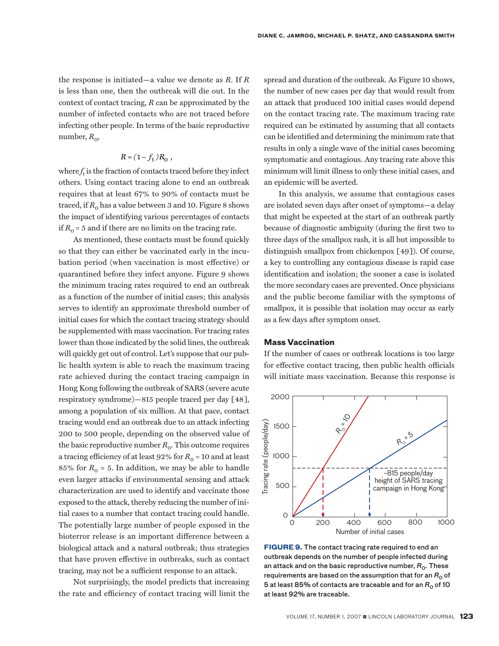the response is initiated—a value we denote as *R*. If *R* is less than one, then the outbreak will die out. In the context of contact tracing, *R* can be approximated by the number of infected contacts who are not traced before infecting other people. In terms of the basic reproductive number,  $R_0$ ,

# $R \approx (1 - f_t) R_0$ ,

where  $f_t$  is the fraction of contacts traced before they infect others. Using contact tracing alone to end an outbreak requires that at least 67% to 90% of contacts must be traced, if  $R_0$  has a value between 3 and 10. Figure 8 shows the impact of identifying various percentages of contacts if  $R_0 = 5$  and if there are no limits on the tracing rate.

As mentioned, these contacts must be found quickly so that they can either be vaccinated early in the incubation period (when vaccination is most effective) or quarantined before they infect anyone. Figure 9 shows the minimum tracing rates required to end an outbreak as a function of the number of initial cases; this analysis serves to identify an approximate threshold number of initial cases for which the contact tracing strategy should be supplemented with mass vaccination. For tracing rates lower than those indicated by the solid lines, the outbreak will quickly get out of control. Let's suppose that our public health system is able to reach the maximum tracing rate achieved during the contact tracing campaign in Hong Kong following the outbreak of SARS (severe acute respiratory syndrome)—815 people traced per day [48], among a population of six million. At that pace, contact tracing would end an outbreak due to an attack infecting 200 to 500 people, depending on the observed value of the basic reproductive number  $R_0$ . This outcome requires a tracing efficiency of at least  $92\%$  for  $R_0 = 10$  and at least 85% for  $R_0 = 5$ . In addition, we may be able to handle even larger attacks if environmental sensing and attack characterization are used to identify and vaccinate those exposed to the attack, thereby reducing the number of initial cases to a number that contact tracing could handle. The potentially large number of people exposed in the bioterror release is an important difference between a biological attack and a natural outbreak; thus strategies that have proven effective in outbreaks, such as contact tracing, may not be a sufficient response to an attack.

Not surprisingly, the model predicts that increasing the rate and efficiency of contact tracing will limit the

spread and duration of the outbreak. As Figure 10 shows, the number of new cases per day that would result from an attack that produced 100 initial cases would depend on the contact tracing rate. The maximum tracing rate required can be estimated by assuming that all contacts can be identified and determining the minimum rate that results in only a single wave of the initial cases becoming symptomatic and contagious. Any tracing rate above this minimum will limit illness to only these initial cases, and an epidemic will be averted.

In this analysis, we assume that contagious cases are isolated seven days after onset of symptoms—a delay that might be expected at the start of an outbreak partly because of diagnostic ambiguity (during the first two to three days of the smallpox rash, it is all but impossible to distinguish smallpox from chickenpox [49]). Of course, a key to controlling any contagious disease is rapid case identification and isolation; the sooner a case is isolated the more secondary cases are prevented. Once physicians and the public become familiar with the symptoms of smallpox, it is possible that isolation may occur as early as a few days after symptom onset.

#### **Mass Vaccination**

If the number of cases or outbreak locations is too large for effective contact tracing, then public health officials will initiate mass vaccination. Because this response is



**FIGURE 9.** The contact tracing rate required to end an outbreak depends on the number of people infected during an attack and on the basic reproductive number, R<sub>0</sub>. These requirements are based on the assumption that for an  $R_0$  of 5 at least 85% of contacts are traceable and for an  $R_0$  of 10 at least 92% are traceable.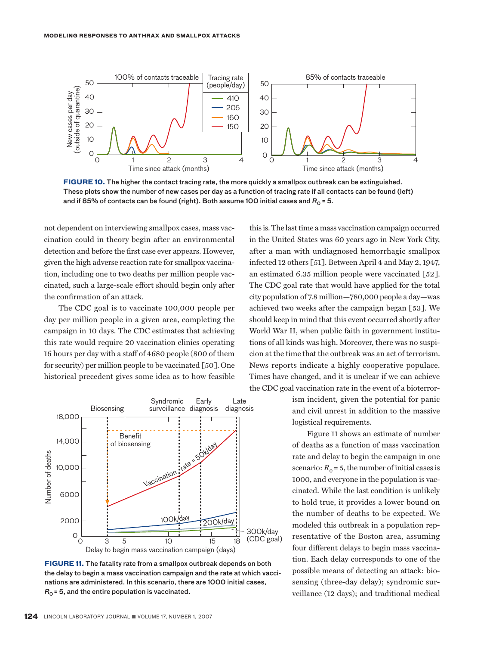

**FIGURE 10.** The higher the contact tracing rate, the more quickly a smallpox outbreak can be extinguished. These plots show the number of new cases per day as a function of tracing rate if all contacts can be found (left) and if 85% of contacts can be found (right). Both assume 100 initial cases and  $R_0 = 5$ .

not dependent on interviewing smallpox cases, mass vaccination could in theory begin after an environmental detection and before the first case ever appears. However, given the high adverse reaction rate for smallpox vaccination, including one to two deaths per million people vaccinated, such a large-scale effort should begin only after the confirmation of an attack.

The CDC goal is to vaccinate 100,000 people per day per million people in a given area, completing the campaign in 10 days. The CDC estimates that achieving this rate would require 20 vaccination clinics operating 16 hours per day with a staff of 4680 people (800 of them for security) per million people to be vaccinated [50]. One historical precedent gives some idea as to how feasible



**FIGURE 11.** The fatality rate from a smallpox outbreak depends on both the delay to begin a mass vaccination campaign and the rate at which vaccinations are administered. In this scenario, there are 1000 initial cases,  $R_0$  = 5, and the entire population is vaccinated.

this is. The last time a mass vaccination campaign occurred in the United States was 60 years ago in New York City, after a man with undiagnosed hemorrhagic smallpox infected 12 others [51]. Between April 4 and May 2, 1947, an estimated 6.35 million people were vaccinated [52]. The CDC goal rate that would have applied for the total city population of 7.8 million—780,000 people a day—was achieved two weeks after the campaign began [53]. We should keep in mind that this event occurred shortly after World War II, when public faith in government institutions of all kinds was high. Moreover, there was no suspicion at the time that the outbreak was an act of terrorism. News reports indicate a highly cooperative populace. Times have changed, and it is unclear if we can achieve the CDC goal vaccination rate in the event of a bioterror-

> ism incident, given the potential for panic and civil unrest in addition to the massive logistical requirements.

> Figure 11 shows an estimate of number of deaths as a function of mass vaccination rate and delay to begin the campaign in one scenario:  $R_0 = 5$ , the number of initial cases is 1000, and everyone in the population is vaccinated. While the last condition is unlikely to hold true, it provides a lower bound on the number of deaths to be expected. We modeled this outbreak in a population representative of the Boston area, assuming four different delays to begin mass vaccination. Each delay corresponds to one of the possible means of detecting an attack: biosensing (three-day delay); syndromic surveillance (12 days); and traditional medical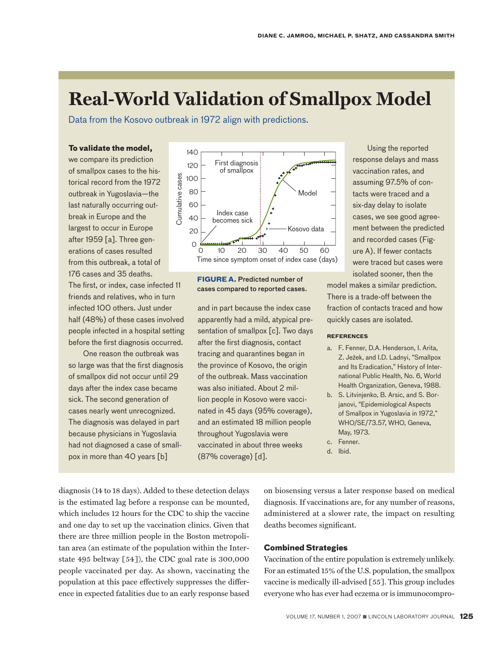# **Real-World Validation of Smallpox Model**

Data from the Kosovo outbreak in 1972 align with predictions.

### **To validate the model,**

we compare its prediction of smallpox cases to the historical record from the 1972 outbreak in Yugoslavia—the last naturally occurring outbreak in Europe and the largest to occur in Europe after 1959 [a]. Three generations of cases resulted from this outbreak, a total of 176 cases and 35 deaths. The first, or index, case infected 11 friends and relatives, who in turn infected 100 others. Just under half (48%) of these cases involved people infected in a hospital setting before the first diagnosis occurred.

One reason the outbreak was so large was that the first diagnosis of smallpox did not occur until 29 days after the index case became sick. The second generation of cases nearly went unrecognized. The diagnosis was delayed in part because physicians in Yugoslavia had not diagnosed a case of smallpox in more than 40 years [b]



## **FIGURE A.** Predicted number of **A.** Pre- dicted cases compared to reported cases.

and in part because the index case apparently had a mild, atypical presentation of smallpox [c]. Two days after the first diagnosis, contact tracing and quarantines began in the province of Kosovo, the origin of the outbreak. Mass vaccination was also initiated. About 2 million people in Kosovo were vaccinated in 45 days (95% coverage), and an estimated 18 million people throughout Yugoslavia were vaccinated in about three weeks (87% coverage) [d].

Using the reported response delays and mass vaccination rates, and assuming 97.5% of contacts were traced and a six-day delay to isolate cases, we see good agreement between the predicted and recorded cases (Figure A). If fewer contacts were traced but cases were isolated sooner, then the

 $n$ num $\Box$ model makes a similar prediction. There is a trade-off between the fraction of contacts traced and how quickly cases are isolated.

#### **References**

- a. F. Fenner, D.A. Henderson, I. Arita, Z. Ježek, and I.D. Ladnyi, "Smallpox and Its Eradication," History of International Public Health, No. 6, World Health Organization, Geneva, 1988.
- b. S. Litvinjenko, B. Arsic, and S. Borjanovi, "Epidemiological Aspects of Smallpox in Yugoslavia in 1972," WHO/SE/73.57, WHO, Geneva, May, 1973.
- c. Fenner.

diagnosis (14 to 18 days). Added to these detection delays is the estimated lag before a response can be mounted, which includes 12 hours for the CDC to ship the vaccine and one day to set up the vaccination clinics. Given that there are three million people in the Boston metropolitan area (an estimate of the population within the Interstate 495 beltway [54]), the CDC goal rate is 300,000 people vaccinated per day. As shown, vaccinating the population at this pace effectively suppresses the difference in expected fatalities due to an early response based on biosensing versus a later response based on medical diagnosis. If vaccinations are, for any number of reasons, administered at a slower rate, the impact on resulting deaths becomes significant.

### **Combined Strategies**

Vaccination of the entire population is extremely unlikely. For an estimated 15% of the U.S. population, the smallpox vaccine is medically ill-advised [55]. This group includes everyone who has ever had eczema or is immunocompro-

d. Ibid.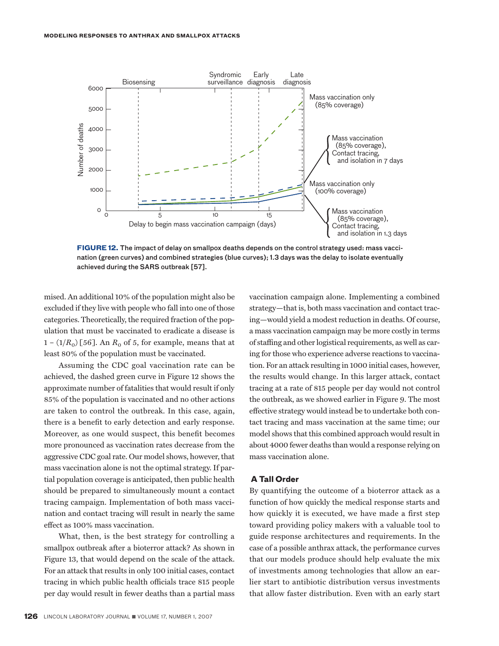

**FIGURE 12.** The impact of delay on smallpox deaths depends on the control strategy used: mass vaccination (green curves) and combined strategies (blue curves); 1.3 days was the delay to isolate eventually achieved during the SARS outbreak [57].

mised. An additional 10% of the population might also be excluded if they live with people who fall into one of those categories. Theoretically, the required fraction of the population that must be vaccinated to eradicate a disease is  $1 - (1/R_0)$  [56]. An  $R_0$  of 5, for example, means that at least 80% of the population must be vaccinated.

Assuming the CDC goal vaccination rate can be achieved, the dashed green curve in Figure 12 shows the approximate number of fatalities that would result if only 85% of the population is vaccinated and no other actions are taken to control the outbreak. In this case, again, there is a benefit to early detection and early response. Moreover, as one would suspect, this benefit becomes more pronounced as vaccination rates decrease from the aggressive CDC goal rate. Our model shows, however, that mass vaccination alone is not the optimal strategy. If partial population coverage is anticipated, then public health should be prepared to simultaneously mount a contact tracing campaign. Implementation of both mass vaccination and contact tracing will result in nearly the same effect as 100% mass vaccination.

What, then, is the best strategy for controlling a smallpox outbreak after a bioterror attack? As shown in Figure 13, that would depend on the scale of the attack. For an attack that results in only 100 initial cases, contact tracing in which public health officials trace 815 people per day would result in fewer deaths than a partial mass

vaccination campaign alone. Implementing a combined strategy—that is, both mass vaccination and contact tracing—would yield a modest reduction in deaths. Of course, a mass vaccination campaign may be more costly in terms of staffing and other logistical requirements, as well as caring for those who experience adverse reactions to vaccination. For an attack resulting in 1000 initial cases, however, the results would change. In this larger attack, contact tracing at a rate of 815 people per day would not control the outbreak, as we showed earlier in Figure 9. The most effective strategy would instead be to undertake both contact tracing and mass vaccination at the same time; our model shows that this combined approach would result in about 4000 fewer deaths than would a response relying on mass vaccination alone.

#### **A Tall Order**

By quantifying the outcome of a bioterror attack as a function of how quickly the medical response starts and how quickly it is executed, we have made a first step toward providing policy makers with a valuable tool to guide response architectures and requirements. In the case of a possible anthrax attack, the performance curves that our models produce should help evaluate the mix of investments among technologies that allow an earlier start to antibiotic distribution versus investments that allow faster distribution. Even with an early start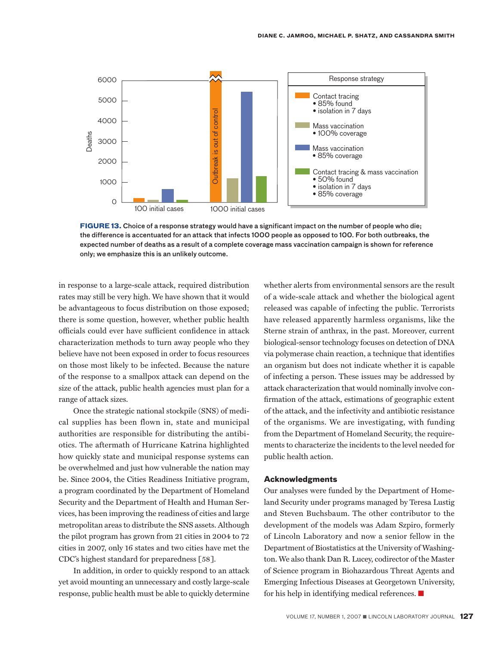

**FIGURE 13.** Choice of a response strategy would have a significant impact on the number of people who die; the difference is accentuated for an attack that infects 1000 people as opposed to 100. For both outbreaks, the expected number of deaths as a result of a complete coverage mass vaccination campaign is shown for reference only; we emphasize this is an unlikely outcome.

in response to a large-scale attack, required distribution rates may still be very high. We have shown that it would be advantageous to focus distribution on those exposed; there is some question, however, whether public health officials could ever have sufficient confidence in attack characterization methods to turn away people who they believe have not been exposed in order to focus resources on those most likely to be infected. Because the nature of the response to a smallpox attack can depend on the size of the attack, public health agencies must plan for a range of attack sizes.

Once the strategic national stockpile (SNS) of medical supplies has been flown in, state and municipal authorities are responsible for distributing the antibiotics. The aftermath of Hurricane Katrina highlighted how quickly state and municipal response systems can be overwhelmed and just how vulnerable the nation may be. Since 2004, the Cities Readiness Initiative program, a program coordinated by the Department of Homeland Security and the Department of Health and Human Services, has been improving the readiness of cities and large metropolitan areas to distribute the SNS assets. Although the pilot program has grown from 21 cities in 2004 to 72 cities in 2007, only 16 states and two cities have met the CDC's highest standard for preparedness [58].

In addition, in order to quickly respond to an attack yet avoid mounting an unnecessary and costly large-scale response, public health must be able to quickly determine whether alerts from environmental sensors are the result of a wide-scale attack and whether the biological agent released was capable of infecting the public. Terrorists have released apparently harmless organisms, like the Sterne strain of anthrax, in the past. Moreover, current biological-sensor technology focuses on detection of DNA via polymerase chain reaction, a technique that identifies an organism but does not indicate whether it is capable of infecting a person. These issues may be addressed by attack characterization that would nominally involve confirmation of the attack, estimations of geographic extent of the attack, and the infectivity and antibiotic resistance of the organisms. We are investigating, with funding from the Department of Homeland Security, the requirements to characterize the incidents to the level needed for public health action.

#### **Acknowledgments**

Our analyses were funded by the Department of Homeland Security under programs managed by Teresa Lustig and Steven Buchsbaum. The other contributor to the development of the models was Adam Szpiro, formerly of Lincoln Laboratory and now a senior fellow in the Department of Biostatistics at the University of Washington. We also thank Dan R. Lucey, codirector of the Master of Science program in Biohazardous Threat Agents and Emerging Infectious Diseases at Georgetown University, for his help in identifying medical references.  $\blacksquare$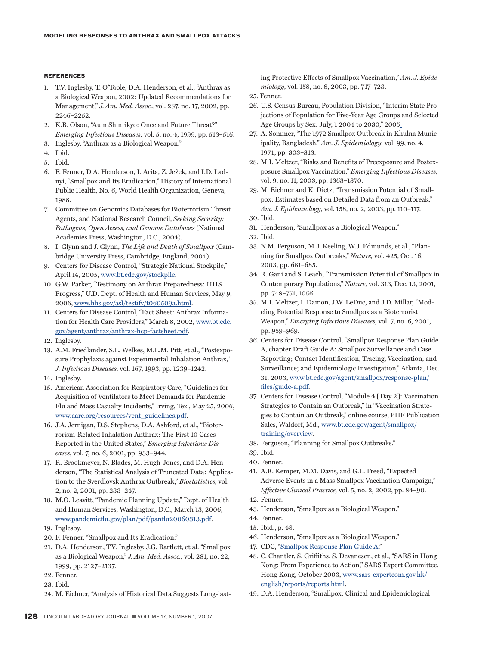#### **References**

- 1. T.V. Inglesby, T. O'Toole, D.A. Henderson, et al., "Anthrax as a Biological Weapon, 2002: Updated Recommendations for Management," *J. Am. Med. Assoc.,* vol. 287, no. 17, 2002, pp. 2246–2252.
- 2. K.B. Olson, "Aum Shinrikyo: Once and Future Threat?" *Emerging Infectious Diseases,* vol. 5, no. 4, 1999, pp. 513–516.
- 3. Inglesby, "Anthrax as a Biological Weapon."
- 4. Ibid.
- 5. Ibid.
- 6. F. Fenner, D.A. Henderson, I. Arita, Z. Ježek, and I.D. Ladnyi, "Smallpox and Its Eradication," History of International Public Health, No. 6, World Health Organization, Geneva, 1988.
- 7. Committee on Genomics Databases for Bioterrorism Threat Agents, and National Research Council, *Seeking Security: Pathogens, Open Access, and Genome Databases* (National Academies Press, Washington, D.C., 2004).
- 8. I. Glynn and J. Glynn, *The Life and Death of Smallpox* (Cambridge University Press, Cambridge, England, 2004).
- 9. Centers for Disease Control, "Strategic National Stockpile," April 14, 2005, [www.bt.cdc.gov/stockpile.](www.bt.cdc.gov/stockpile)
- 10. G.W. Parker, "Testimony on Anthrax Preparedness: HHS Progress," U.D. Dept. of Health and Human Services, May 9, 2006, [www.hhs.gov/asl/testify/t060509a.html.](www.hhs.gov/asl/testify/t060509a.html)
- 11. Centers for Disease Control, "Fact Sheet: Anthrax Informa[tion for Health Care Providers," March 8, 2002, www.bt.cdc.](www.bt.cdc.gov/agent/anthrax/anthrax-hcp-factsheet.pdf) gov/agent/anthrax/anthrax-hcp-factsheet.pdf.
- 12. Inglesby.
- 13. A.M. Friedlander, S.L. Welkes, M.L.M. Pitt, et al., "Postexposure Prophylaxis against Experimental Inhalation Anthrax," *J. Infectious Diseases,* vol. 167, 1993, pp. 1239–1242.
- 14. Inglesby.
- 15. American Association for Respiratory Care, "Guidelines for Acquisition of Ventilators to Meet Demands for Pandemic Flu and Mass Casualty Incidents," Irving, Tex., May 25, 2006, [www.aarc.org/resources/vent\\_guidelines.pdf.](www.aarc.org/resources/vent_guidelines.pdf)
- 16. J.A. Jernigan, D.S. Stephens, D.A. Ashford, et al., "Bioterrorism-Related Inhalation Anthrax: The First 10 Cases Reported in the United States," *Emerging Infectious Diseases,* vol. 7, no. 6, 2001, pp. 933–944.
- 17. R. Brookmeyer, N. Blades, M. Hugh-Jones, and D.A. Henderson, "The Statistical Analysis of Truncated Data: Application to the Sverdlovsk Anthrax Outbreak," *Biostatistics,* vol. 2, no. 2, 2001, pp. 233–247.
- 18. M.O. Leavitt, "Pandemic Planning Update," Dept. of Health and Human Services, Washington, D.C., March 13, 2006, <www.pandemicflu.gov/plan/pdf/panflu20060313.pdf>.
- 19. Inglesby.
- 20. F. Fenner, "Smallpox and Its Eradication."
- 21. D.A. Henderson, T.V. Inglesby, J.G. Bartlett, et al. "Smallpox as a Biological Weapon," *J. Am. Med. Assoc.,* vol. 281, no. 22, 1999, pp. 2127–2137.
- 22. Fenner.
- 23. Ibid.
- 24. M. Eichner, "Analysis of Historical Data Suggests Long-last-

ing Protective Effects of Smallpox Vaccination," *Am. J. Epidemiology,* vol. 158, no. 8, 2003, pp. 717–723.

- 25. Fenner.
- 26. U.S. Census Bureau, Population Division, "Interim State Projections of Population for Five-Year Age Groups and Selected Age Groups by Sex: July, 1 2004 to 2030," 2005
- 27. A. Sommer, "The 1972 Smallpox Outbreak in Khulna Municipality, Bangladesh," *Am. J. Epidemiology,* vol. 99, no. 4, 1974, pp. 303–313.
- 28. M.I. Meltzer, "Risks and Benefits of Preexposure and Postexposure Smallpox Vaccination," *Emerging Infectious Diseases,* vol. 9, no. 11, 2003, pp. 1363–1370.
- 29. M. Eichner and K. Dietz, "Transmission Potential of Smallpox: Estimates based on Detailed Data from an Outbreak," *Am. J. Epidemiology,* vol. 158, no. 2, 2003, pp. 110–117.
- 30. Ibid.
- 31. Henderson, "Smallpox as a Biological Weapon."
- 32. Ibid.
- 33. N.M. Ferguson, M.J. Keeling, W.J. Edmunds, et al., "Planning for Smallpox Outbreaks," *Nature,* vol. 425, Oct. 16, 2003, pp. 681–685.
- 34. R. Gani and S. Leach, "Transmission Potential of Smallpox in Contemporary Populations," *Nature,* vol. 313, Dec. 13, 2001, pp. 748–751, 1056.
- 35. M.I. Meltzer, I. Damon, J.W. LeDuc, and J.D. Millar, "Modeling Potential Response to Smallpox as a Bioterrorist Weapon," *Emerging Infectious Diseases,* vol. 7, no. 6, 2001, pp. 959–969.
- 36. Centers for Disease Control, "Smallpox Response Plan Guide A, chapter Draft Guide A: Smallpox Surveillance and Case Reporting; Contact Identification, Tracing, Vaccination, and Surveillance; and Epidemiologic Investigation," Atlanta, Dec. [31, 2003, www.bt.cdc.gov/agent/smallpox/response-plan/](www.bt.cdc.gov/agent/smallpox/response-plan/files/guide-a.pdf) files/guide-a.pdf.
- 37. Centers for Disease Control, "Module 4 [Day 2]: Vaccination Strategies to Contain an Outbreak," in "Vaccination Strategies to Contain an Outbreak," online course, PHF Publication [Sales, Waldorf, Md., www.bt.cdc.gov/agent/smallpox/](http://www.bt.cdc.gov/agent/smallpox/training/overview) training/overview.
- 38. Ferguson, "Planning for Smallpox Outbreaks."
- 39. Ibid.
- 40. Fenner.
- 41. A.R. Kemper, M.M. Davis, and G.L. Freed, "Expected Adverse Events in a Mass Smallpox Vaccination Campaign," *Effective Clinical Practice,* vol. 5, no. 2, 2002, pp. 84–90.
- 42. Fenner.
- 43. Henderson, "Smallpox as a Biological Weapon."
- 44. Fenner.
- 45. Ibid., p. 48.
- 46. Henderson, "Smallpox as a Biological Weapon."
- 47. CDC, ["Smallpox Response Plan Guide A](www.bt.cdc.gov/agent/smallpox/response-plan/files/guide-a.pdf)."
- 48. C. Chantler, S. Griffiths, S. Devanesen, et al., "SARS in Hong Kong: From Experience to Action," SARS Expert Committee, [Hong Kong, October 2003, www.sars-expertcom.gov.hk/](http://www.sars-expertcom.gov.hk/english/reports/reports.html) english/reports/reports.html.
- 49. D.A. Henderson, "Smallpox: Clinical and Epidemiological